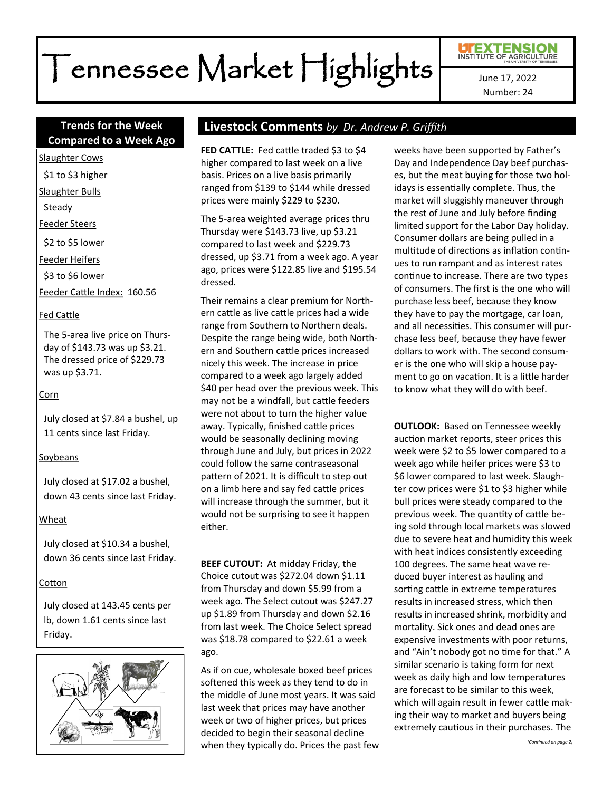# Tennessee Market Highlights

Number: 24

# **Compared to a Week Ago**

Slaughter Cows

\$1 to \$3 higher

Slaughter Bulls

Steady

Feeder Steers

\$2 to \$5 lower

Feeder Heifers

\$3 to \$6 lower

Feeder Cattle Index: 160.56

#### Fed Cattle

The 5-area live price on Thursday of \$143.73 was up \$3.21. The dressed price of \$229.73 was up \$3.71.

#### Corn

July closed at \$7.84 a bushel, up 11 cents since last Friday.

#### Soybeans

July closed at \$17.02 a bushel, down 43 cents since last Friday.

#### Wheat

July closed at \$10.34 a bushel, down 36 cents since last Friday.

#### Cotton

July closed at 143.45 cents per lb, down 1.61 cents since last Friday.



# **Trends for the Week Livestock Comments** *by Dr. Andrew P. Griffith*

**FED CATTLE:** Fed cattle traded \$3 to \$4 higher compared to last week on a live basis. Prices on a live basis primarily ranged from \$139 to \$144 while dressed prices were mainly \$229 to \$230.

The 5-area weighted average prices thru Thursday were \$143.73 live, up \$3.21 compared to last week and \$229.73 dressed, up \$3.71 from a week ago. A year ago, prices were \$122.85 live and \$195.54 dressed.

Their remains a clear premium for Northern cattle as live cattle prices had a wide range from Southern to Northern deals. Despite the range being wide, both Northern and Southern cattle prices increased nicely this week. The increase in price compared to a week ago largely added \$40 per head over the previous week. This may not be a windfall, but cattle feeders were not about to turn the higher value away. Typically, finished cattle prices would be seasonally declining moving through June and July, but prices in 2022 could follow the same contraseasonal pattern of 2021. It is difficult to step out on a limb here and say fed cattle prices will increase through the summer, but it would not be surprising to see it happen either.

**BEEF CUTOUT:** At midday Friday, the Choice cutout was \$272.04 down \$1.11 from Thursday and down \$5.99 from a week ago. The Select cutout was \$247.27 up \$1.89 from Thursday and down \$2.16 from last week. The Choice Select spread was \$18.78 compared to \$22.61 a week ago.

As if on cue, wholesale boxed beef prices softened this week as they tend to do in the middle of June most years. It was said last week that prices may have another week or two of higher prices, but prices decided to begin their seasonal decline when they typically do. Prices the past few weeks have been supported by Father's Day and Independence Day beef purchases, but the meat buying for those two holidays is essentially complete. Thus, the market will sluggishly maneuver through the rest of June and July before finding limited support for the Labor Day holiday. Consumer dollars are being pulled in a multitude of directions as inflation continues to run rampant and as interest rates continue to increase. There are two types of consumers. The first is the one who will purchase less beef, because they know they have to pay the mortgage, car loan, and all necessities. This consumer will purchase less beef, because they have fewer dollars to work with. The second consumer is the one who will skip a house payment to go on vacation. It is a little harder to know what they will do with beef.

**OUTLOOK:** Based on Tennessee weekly auction market reports, steer prices this week were \$2 to \$5 lower compared to a week ago while heifer prices were \$3 to \$6 lower compared to last week. Slaughter cow prices were \$1 to \$3 higher while bull prices were steady compared to the previous week. The quantity of cattle being sold through local markets was slowed due to severe heat and humidity this week with heat indices consistently exceeding 100 degrees. The same heat wave reduced buyer interest as hauling and sorting cattle in extreme temperatures results in increased stress, which then results in increased shrink, morbidity and mortality. Sick ones and dead ones are expensive investments with poor returns, and "Ain't nobody got no time for that." A similar scenario is taking form for next week as daily high and low temperatures are forecast to be similar to this week, which will again result in fewer cattle making their way to market and buyers being extremely cautious in their purchases. The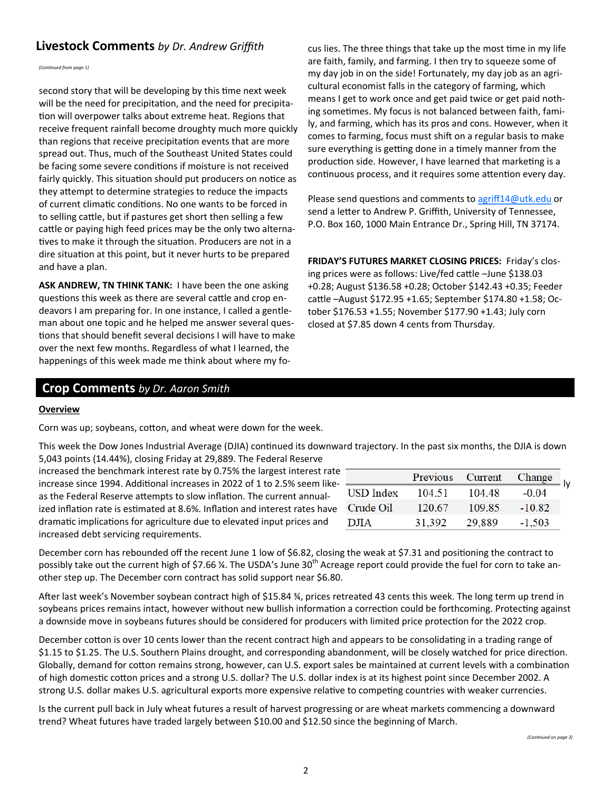# **Livestock Comments** by Dr. Andrew Griffith cus lies. The three things that take up the most time in my life

*(Continued from page 1)*

second story that will be developing by this time next week will be the need for precipitation, and the need for precipitation will overpower talks about extreme heat. Regions that receive frequent rainfall become droughty much more quickly than regions that receive precipitation events that are more spread out. Thus, much of the Southeast United States could be facing some severe conditions if moisture is not received fairly quickly. This situation should put producers on notice as they attempt to determine strategies to reduce the impacts of current climatic conditions. No one wants to be forced in to selling cattle, but if pastures get short then selling a few cattle or paying high feed prices may be the only two alternatives to make it through the situation. Producers are not in a dire situation at this point, but it never hurts to be prepared and have a plan.

**ASK ANDREW, TN THINK TANK:** I have been the one asking questions this week as there are several cattle and crop endeavors I am preparing for. In one instance, I called a gentleman about one topic and he helped me answer several questions that should benefit several decisions I will have to make over the next few months. Regardless of what I learned, the happenings of this week made me think about where my foare faith, family, and farming. I then try to squeeze some of my day job in on the side! Fortunately, my day job as an agricultural economist falls in the category of farming, which means I get to work once and get paid twice or get paid nothing sometimes. My focus is not balanced between faith, family, and farming, which has its pros and cons. However, when it comes to farming, focus must shift on a regular basis to make sure everything is getting done in a timely manner from the production side. However, I have learned that marketing is a continuous process, and it requires some attention every day.

Please send questions and comments to [agriff14@utk.edu](mailto:agriff14@utk.edu) or send a letter to Andrew P. Griffith, University of Tennessee, P.O. Box 160, 1000 Main Entrance Dr., Spring Hill, TN 37174.

**FRIDAY'S FUTURES MARKET CLOSING PRICES:** Friday's closing prices were as follows: Live/fed cattle –June \$138.03 +0.28; August \$136.58 +0.28; October \$142.43 +0.35; Feeder cattle –August \$172.95 +1.65; September \$174.80 +1.58; October \$176.53 +1.55; November \$177.90 +1.43; July corn closed at \$7.85 down 4 cents from Thursday.

# **Crop Comments** *by Dr. Aaron Smith*

#### **Overview**

Corn was up; soybeans, cotton, and wheat were down for the week.

This week the Dow Jones Industrial Average (DJIA) continued its downward trajectory. In the past six months, the DJIA is down 5,043 points (14.44%), closing Friday at 29,889. The Federal Reserve

increased the benchmark interest rate by 0.75% the largest interest rate increase since 1994. Additional increases in 2022 of 1 to 2.5% seem likeas the Federal Reserve attempts to slow inflation. The current annualized inflation rate is estimated at 8.6%. Inflation and interest rates have dramatic implications for agriculture due to elevated input prices and increased debt servicing requirements.

|           | Previous Current |        |          |  |
|-----------|------------------|--------|----------|--|
|           |                  |        | Change   |  |
| USD Index | 104.51           | 104 48 | $-0.04$  |  |
| Crude Oil | 120.67           | 109.85 | $-10.82$ |  |
| DJIA      | 31.392           | 29,889 | $-1,503$ |  |

December corn has rebounded off the recent June 1 low of \$6.82, closing the weak at \$7.31 and positioning the contract to possibly take out the current high of \$7.66 %. The USDA's June 30<sup>th</sup> Acreage report could provide the fuel for corn to take another step up. The December corn contract has solid support near \$6.80.

After last week's November soybean contract high of \$15.84 ¾, prices retreated 43 cents this week. The long term up trend in soybeans prices remains intact, however without new bullish information a correction could be forthcoming. Protecting against a downside move in soybeans futures should be considered for producers with limited price protection for the 2022 crop.

December cotton is over 10 cents lower than the recent contract high and appears to be consolidating in a trading range of \$1.15 to \$1.25. The U.S. Southern Plains drought, and corresponding abandonment, will be closely watched for price direction. Globally, demand for cotton remains strong, however, can U.S. export sales be maintained at current levels with a combination of high domestic cotton prices and a strong U.S. dollar? The U.S. dollar index is at its highest point since December 2002. A strong U.S. dollar makes U.S. agricultural exports more expensive relative to competing countries with weaker currencies.

Is the current pull back in July wheat futures a result of harvest progressing or are wheat markets commencing a downward trend? Wheat futures have traded largely between \$10.00 and \$12.50 since the beginning of March.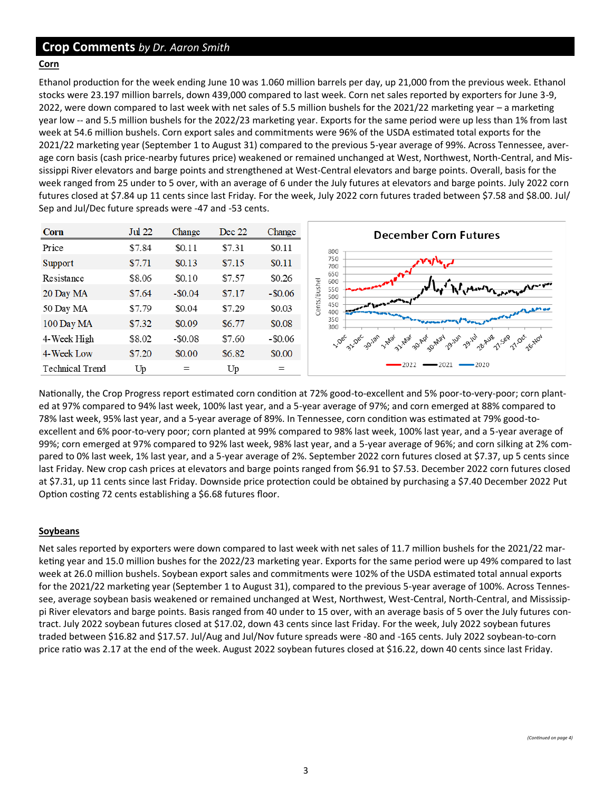## **Crop Comments** *by Dr. Aaron Smith*

#### **Corn**

Ethanol production for the week ending June 10 was 1.060 million barrels per day, up 21,000 from the previous week. Ethanol stocks were 23.197 million barrels, down 439,000 compared to last week. Corn net sales reported by exporters for June 3-9, 2022, were down compared to last week with net sales of 5.5 million bushels for the 2021/22 marketing year – a marketing year low -- and 5.5 million bushels for the 2022/23 marketing year. Exports for the same period were up less than 1% from last week at 54.6 million bushels. Corn export sales and commitments were 96% of the USDA estimated total exports for the 2021/22 marketing year (September 1 to August 31) compared to the previous 5-year average of 99%. Across Tennessee, average corn basis (cash price-nearby futures price) weakened or remained unchanged at West, Northwest, North-Central, and Mississippi River elevators and barge points and strengthened at West-Central elevators and barge points. Overall, basis for the week ranged from 25 under to 5 over, with an average of 6 under the July futures at elevators and barge points. July 2022 corn futures closed at \$7.84 up 11 cents since last Friday. For the week, July 2022 corn futures traded between \$7.58 and \$8.00. Jul/ Sep and Jul/Dec future spreads were -47 and -53 cents.

| Corn            | Jul 22 | Change     | Dec 22 | Change     | <b>December Corn Futures</b>                                                                                                                                                                                                                             |
|-----------------|--------|------------|--------|------------|----------------------------------------------------------------------------------------------------------------------------------------------------------------------------------------------------------------------------------------------------------|
| Price           | \$7.84 | \$0.11     | \$7.31 | \$0.11     | 800                                                                                                                                                                                                                                                      |
| Support         | \$7.71 | \$0.13     | \$7.15 | \$0.11     | 750<br>700                                                                                                                                                                                                                                               |
| Resistance      | \$8.06 | \$0.10     | \$7.57 | \$0.26     | 650<br>600                                                                                                                                                                                                                                               |
| 20 Day MA       | \$7.64 | $-$ \$0.04 | \$7.17 | $-$ \$0.06 | Cents/Bushel<br>Anthr <sub>kste</sub> rry / 1m2V<br>550<br>500                                                                                                                                                                                           |
| 50 Day MA       | \$7.79 | \$0.04     | \$7.29 | \$0.03     | 450<br>400<br><b>Administration</b>                                                                                                                                                                                                                      |
| 100 Day MA      | \$7.32 | \$0.09     | \$6.77 | \$0.08     | 350<br><b><i>Proprietable of Carely Property and the Company's Company's Company's Company's Company's Company's Company's Company's Company's Company's Company's Company's Company's Company's Company's Company's Company's Company's </i></b><br>300 |
| 4-Week High     | \$8.02 | $-$ \$0.08 | \$7.60 | $-$ \$0.06 | 1.50er 3.50er 30.10° 1.410' 3.240' 30.40' 2140' 2140' 214' 214' 214' 214' 214' 2140' 3.240'                                                                                                                                                              |
| 4-Week Low      | \$7.20 | \$0.00     | \$6.82 | \$0.00     |                                                                                                                                                                                                                                                          |
| Technical Trend | Up     | $=$        | Up     | $=$        | $-2021$<br>-2022<br>$-2020$                                                                                                                                                                                                                              |

Nationally, the Crop Progress report estimated corn condition at 72% good-to-excellent and 5% poor-to-very-poor; corn planted at 97% compared to 94% last week, 100% last year, and a 5-year average of 97%; and corn emerged at 88% compared to 78% last week, 95% last year, and a 5-year average of 89%. In Tennessee, corn condition was estimated at 79% good-toexcellent and 6% poor-to-very poor; corn planted at 99% compared to 98% last week, 100% last year, and a 5-year average of 99%; corn emerged at 97% compared to 92% last week, 98% last year, and a 5-year average of 96%; and corn silking at 2% compared to 0% last week, 1% last year, and a 5-year average of 2%. September 2022 corn futures closed at \$7.37, up 5 cents since last Friday. New crop cash prices at elevators and barge points ranged from \$6.91 to \$7.53. December 2022 corn futures closed at \$7.31, up 11 cents since last Friday. Downside price protection could be obtained by purchasing a \$7.40 December 2022 Put Option costing 72 cents establishing a \$6.68 futures floor.

#### **Soybeans**

Net sales reported by exporters were down compared to last week with net sales of 11.7 million bushels for the 2021/22 marketing year and 15.0 million bushes for the 2022/23 marketing year. Exports for the same period were up 49% compared to last week at 26.0 million bushels. Soybean export sales and commitments were 102% of the USDA estimated total annual exports for the 2021/22 marketing year (September 1 to August 31), compared to the previous 5-year average of 100%. Across Tennessee, average soybean basis weakened or remained unchanged at West, Northwest, West-Central, North-Central, and Mississippi River elevators and barge points. Basis ranged from 40 under to 15 over, with an average basis of 5 over the July futures contract. July 2022 soybean futures closed at \$17.02, down 43 cents since last Friday. For the week, July 2022 soybean futures traded between \$16.82 and \$17.57. Jul/Aug and Jul/Nov future spreads were -80 and -165 cents. July 2022 soybean-to-corn price ratio was 2.17 at the end of the week. August 2022 soybean futures closed at \$16.22, down 40 cents since last Friday.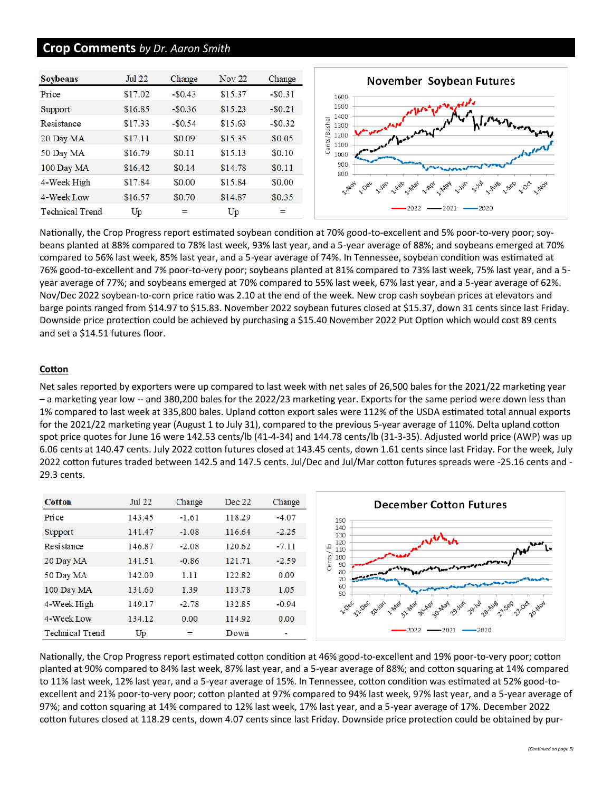#### **Crop Comments** *by Dr. Aaron Smith*

| <b>Soybeans</b>        | Jul 22  | Change   | <b>Nov 22</b> | Change   |
|------------------------|---------|----------|---------------|----------|
| Price                  | \$17.02 | $-$0.43$ | \$15.37       | $-$0.31$ |
| Support                | \$16.85 | $-$0.36$ | \$15.23       | $-$0.21$ |
| Resistance             | \$17.33 | $-$0.54$ | \$15.63       | $-$0.32$ |
| 20 Day MA              | \$17.11 | \$0.09   | \$15.35       | \$0.05   |
| 50 Day MA              | \$16.79 | \$0.11   | \$15.13       | \$0.10   |
| 100 Day MA             | \$16.42 | \$0.14   | \$14.78       | \$0.11   |
| 4-Week High            | \$17.84 | \$0.00   | \$15.84       | \$0.00   |
| 4-Week Low             | \$16.57 | \$0.70   | \$14.87       | \$0.35   |
| <b>Technical Trend</b> | Up      | $=$      | Up            | $=$      |



Nationally, the Crop Progress report estimated soybean condition at 70% good-to-excellent and 5% poor-to-very poor; soybeans planted at 88% compared to 78% last week, 93% last year, and a 5-year average of 88%; and soybeans emerged at 70% compared to 56% last week, 85% last year, and a 5-year average of 74%. In Tennessee, soybean condition was estimated at 76% good-to-excellent and 7% poor-to-very poor; soybeans planted at 81% compared to 73% last week, 75% last year, and a 5 year average of 77%; and soybeans emerged at 70% compared to 55% last week, 67% last year, and a 5-year average of 62%. Nov/Dec 2022 soybean-to-corn price ratio was 2.10 at the end of the week. New crop cash soybean prices at elevators and barge points ranged from \$14.97 to \$15.83. November 2022 soybean futures closed at \$15.37, down 31 cents since last Friday. Downside price protection could be achieved by purchasing a \$15.40 November 2022 Put Option which would cost 89 cents and set a \$14.51 futures floor.

#### **Cotton**

Net sales reported by exporters were up compared to last week with net sales of 26,500 bales for the 2021/22 marketing year – a marketing year low -- and 380,200 bales for the 2022/23 marketing year. Exports for the same period were down less than 1% compared to last week at 335,800 bales. Upland cotton export sales were 112% of the USDA estimated total annual exports for the 2021/22 marketing year (August 1 to July 31), compared to the previous 5-year average of 110%. Delta upland cotton spot price quotes for June 16 were 142.53 cents/lb (41-4-34) and 144.78 cents/lb (31-3-35). Adjusted world price (AWP) was up 6.06 cents at 140.47 cents. July 2022 cotton futures closed at 143.45 cents, down 1.61 cents since last Friday. For the week, July 2022 cotton futures traded between 142.5 and 147.5 cents. Jul/Dec and Jul/Mar cotton futures spreads were -25.16 cents and - 29.3 cents.

| <b>Cotton</b>   | <b>Jul 22</b> | Change  | Dec 22 | Change  | <b>December Cotton Futures</b>                                          |
|-----------------|---------------|---------|--------|---------|-------------------------------------------------------------------------|
| Price           | 143.45        | $-1.61$ | 118.29 | $-4.07$ | 150                                                                     |
| Support         | 141.47        | $-1.08$ | 116.64 | $-2.25$ | 140<br>130                                                              |
| Resistance      | 146.87        | $-2.08$ | 120.62 | $-7.11$ | 120<br><b>AAN</b><br>으<br>110                                           |
| 20 Day MA       | 141.51        | $-0.86$ | 121.71 | $-2.59$ | Cents<br>100<br>12000 paper model and the company of the word<br>90     |
| 50 Day MA       | 142.09        | 1.11    | 122.82 | 0.09    | 80<br>ستستعيض<br>70                                                     |
| 100 Day MA      | 131.60        | 1.39    | 113.78 | 1.05    | hy currywhich put any closes showed they al<br>60<br>50                 |
| 4-Week High     | 149.17        | $-2.78$ | 132.85 | $-0.94$ | 1.5% 3.5% gover 1.4% 3.4% government over 2.1% general 1.5% of 1.0% and |
| 4-Week Low      | 134.12        | 0.00    | 114.92 | 0.00    |                                                                         |
| Technical Trend | Up            | $=$     | Down   | -       | $2022 \rightarrow 2021$<br>$-2020$                                      |

Nationally, the Crop Progress report estimated cotton condition at 46% good-to-excellent and 19% poor-to-very poor; cotton planted at 90% compared to 84% last week, 87% last year, and a 5-year average of 88%; and cotton squaring at 14% compared to 11% last week, 12% last year, and a 5-year average of 15%. In Tennessee, cotton condition was estimated at 52% good-toexcellent and 21% poor-to-very poor; cotton planted at 97% compared to 94% last week, 97% last year, and a 5-year average of 97%; and cotton squaring at 14% compared to 12% last week, 17% last year, and a 5-year average of 17%. December 2022 cotton futures closed at 118.29 cents, down 4.07 cents since last Friday. Downside price protection could be obtained by pur-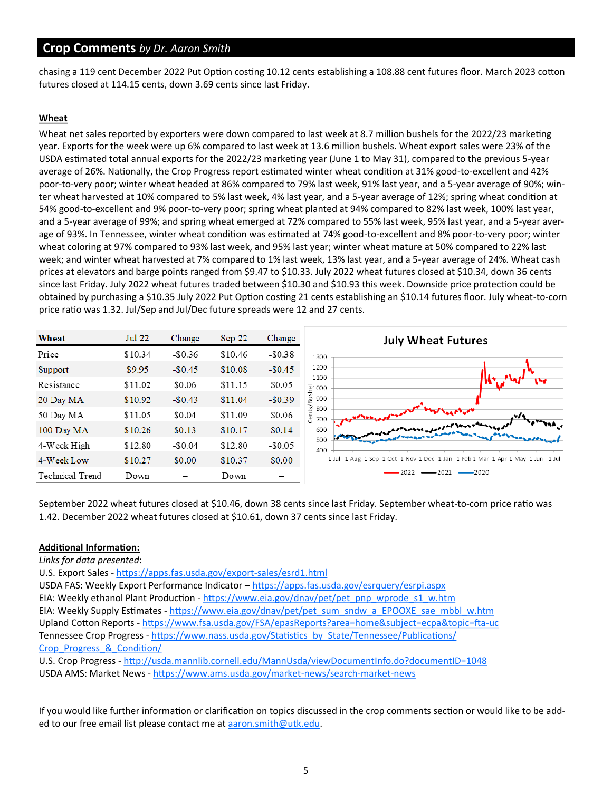## **Crop Comments** *by Dr. Aaron Smith*

chasing a 119 cent December 2022 Put Option costing 10.12 cents establishing a 108.88 cent futures floor. March 2023 cotton futures closed at 114.15 cents, down 3.69 cents since last Friday.

#### **Wheat**

Wheat net sales reported by exporters were down compared to last week at 8.7 million bushels for the 2022/23 marketing year. Exports for the week were up 6% compared to last week at 13.6 million bushels. Wheat export sales were 23% of the USDA estimated total annual exports for the 2022/23 marketing year (June 1 to May 31), compared to the previous 5-year average of 26%. Nationally, the Crop Progress report estimated winter wheat condition at 31% good-to-excellent and 42% poor-to-very poor; winter wheat headed at 86% compared to 79% last week, 91% last year, and a 5-year average of 90%; winter wheat harvested at 10% compared to 5% last week, 4% last year, and a 5-year average of 12%; spring wheat condition at 54% good-to-excellent and 9% poor-to-very poor; spring wheat planted at 94% compared to 82% last week, 100% last year, and a 5-year average of 99%; and spring wheat emerged at 72% compared to 55% last week, 95% last year, and a 5-year average of 93%. In Tennessee, winter wheat condition was estimated at 74% good-to-excellent and 8% poor-to-very poor; winter wheat coloring at 97% compared to 93% last week, and 95% last year; winter wheat mature at 50% compared to 22% last week; and winter wheat harvested at 7% compared to 1% last week, 13% last year, and a 5-year average of 24%. Wheat cash prices at elevators and barge points ranged from \$9.47 to \$10.33. July 2022 wheat futures closed at \$10.34, down 36 cents since last Friday. July 2022 wheat futures traded between \$10.30 and \$10.93 this week. Downside price protection could be obtained by purchasing a \$10.35 July 2022 Put Option costing 21 cents establishing an \$10.14 futures floor. July wheat-to-corn price ratio was 1.32. Jul/Sep and Jul/Dec future spreads were 12 and 27 cents.



September 2022 wheat futures closed at \$10.46, down 38 cents since last Friday. September wheat-to-corn price ratio was 1.42. December 2022 wheat futures closed at \$10.61, down 37 cents since last Friday.

#### **Additional Information:**

*Links for data presented*:

U.S. Export Sales - [https://apps.fas.usda.gov/export](https://apps.fas.usda.gov/export-sales/esrd1.html)-sales/esrd1.html USDA FAS: Weekly Export Performance Indicator – <https://apps.fas.usda.gov/esrquery/esrpi.aspx> EIA: Weekly ethanol Plant Production - [https://www.eia.gov/dnav/pet/pet\\_pnp\\_wprode\\_s1\\_w.htm](https://www.eia.gov/dnav/pet/pet_pnp_wprode_s1_w.htm) EIA: Weekly Supply Estimates - [https://www.eia.gov/dnav/pet/pet\\_sum\\_sndw\\_a\\_EPOOXE\\_sae\\_mbbl\\_w.htm](https://www.eia.gov/dnav/pet/pet_sum_sndw_a_EPOOXE_sae_mbbl_w.htm) Upland Cotton Reports - [https://www.fsa.usda.gov/FSA/epasReports?area=home&subject=ecpa&topic=fta](https://www.fsa.usda.gov/FSA/epasReports?area=home&subject=ecpa&topic=fta-uc)-uc Tennessee Crop Progress - [https://www.nass.usda.gov/Statistics\\_by\\_State/Tennessee/Publications/](https://www.nass.usda.gov/Statistics_by_State/Tennessee/Publications/Crop_Progress_&_Condition/) [Crop\\_Progress\\_&\\_Condition/](https://www.nass.usda.gov/Statistics_by_State/Tennessee/Publications/Crop_Progress_&_Condition/)

U.S. Crop Progress - <http://usda.mannlib.cornell.edu/MannUsda/viewDocumentInfo.do?documentID=1048> USDA AMS: Market News - [https://www.ams.usda.gov/market](https://www.ams.usda.gov/market-news/search-market-news)-news/search-market-news

If you would like further information or clarification on topics discussed in the crop comments section or would like to be added to our free email list please contact me at aaron.smith@utk.edu.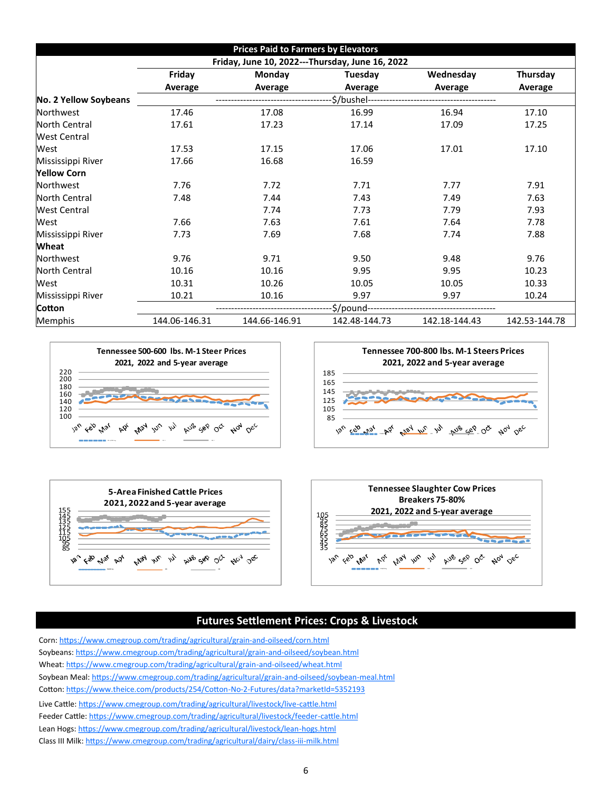| <b>Prices Paid to Farmers by Elevators</b> |                                                      |               |               |               |               |  |  |  |
|--------------------------------------------|------------------------------------------------------|---------------|---------------|---------------|---------------|--|--|--|
|                                            | Friday, June 10, 2022---Thursday, June 16, 2022      |               |               |               |               |  |  |  |
|                                            | Friday<br>Monday<br>Wednesday<br>Tuesday<br>Thursday |               |               |               |               |  |  |  |
|                                            | Average                                              | Average       | Average       | Average       | Average       |  |  |  |
| No. 2 Yellow Soybeans                      |                                                      |               |               |               |               |  |  |  |
| Northwest                                  | 17.46                                                | 17.08         | 16.99         | 16.94         | 17.10         |  |  |  |
| North Central                              | 17.61                                                | 17.23         | 17.14         | 17.09         | 17.25         |  |  |  |
| <b>West Central</b>                        |                                                      |               |               |               |               |  |  |  |
| West                                       | 17.53                                                | 17.15         | 17.06         | 17.01         | 17.10         |  |  |  |
| Mississippi River                          | 17.66                                                | 16.68         | 16.59         |               |               |  |  |  |
| <b>Yellow Corn</b>                         |                                                      |               |               |               |               |  |  |  |
| Northwest                                  | 7.76                                                 | 7.72          | 7.71          | 7.77          | 7.91          |  |  |  |
| <b>North Central</b>                       | 7.48                                                 | 7.44          | 7.43          | 7.49          | 7.63          |  |  |  |
| <b>West Central</b>                        |                                                      | 7.74          | 7.73          | 7.79          | 7.93          |  |  |  |
| West                                       | 7.66                                                 | 7.63          | 7.61          | 7.64          | 7.78          |  |  |  |
| Mississippi River                          | 7.73                                                 | 7.69          | 7.68          | 7.74          | 7.88          |  |  |  |
| <b>Wheat</b>                               |                                                      |               |               |               |               |  |  |  |
| Northwest                                  | 9.76                                                 | 9.71          | 9.50          | 9.48          | 9.76          |  |  |  |
| <b>North Central</b>                       | 10.16                                                | 10.16         | 9.95          | 9.95          | 10.23         |  |  |  |
| West                                       | 10.31                                                | 10.26         | 10.05         | 10.05         | 10.33         |  |  |  |
| Mississippi River                          | 10.21                                                | 10.16         | 9.97          | 9.97          | 10.24         |  |  |  |
| <b>Cotton</b>                              | -\$/pound-                                           |               |               |               |               |  |  |  |
| Memphis                                    | 144.06-146.31                                        | 144.66-146.91 | 142.48-144.73 | 142.18-144.43 | 142.53-144.78 |  |  |  |









# **Futures Settlement Prices: Crops & Livestock**

Corn: [https://www.cmegroup.com/trading/agricultural/grain](https://www.cmegroup.com/trading/agricultural/grain-and-oilseed/corn.html)-and-oilseed/corn.html Soybeans: [https://www.cmegroup.com/trading/agricultural/grain](https://www.cmegroup.com/trading/agricultural/grain-and-oilseed/soybean.html)-and-oilseed/soybean.html Wheat: [https://www.cmegroup.com/trading/agricultural/grain](https://www.cmegroup.com/trading/agricultural/grain-and-oilseed/wheat.html)-and-oilseed/wheat.html Soybean Meal: [https://www.cmegroup.com/trading/agricultural/grain](https://www.cmegroup.com/trading/agricultural/grain-and-oilseed/soybean-meal.html)-and-oilseed/soybean-meal.html Cotton: [https://www.theice.com/products/254/Cotton](https://www.theice.com/products/254/Cotton-No-2-Futures/data?marketId=5352193)-No-2-Futures/data?marketId=5352193 Live Cattle: [https://www.cmegroup.com/trading/agricultural/livestock/live](https://www.cmegroup.com/trading/agricultural/livestock/live-cattle.html)-cattle.html Feeder Cattle: [https://www.cmegroup.com/trading/agricultural/livestock/feeder](https://www.cmegroup.com/trading/agricultural/livestock/feeder-cattle.html)-cattle.html Lean Hogs: [https://www.cmegroup.com/trading/agricultural/livestock/lean](https://www.cmegroup.com/trading/agricultural/livestock/lean-hogs.html)-hogs.html Class III Milk: [https://www.cmegroup.com/trading/agricultural/dairy/class](https://www.cmegroup.com/trading/agricultural/dairy/class-iii-milk.html)-iii-milk.html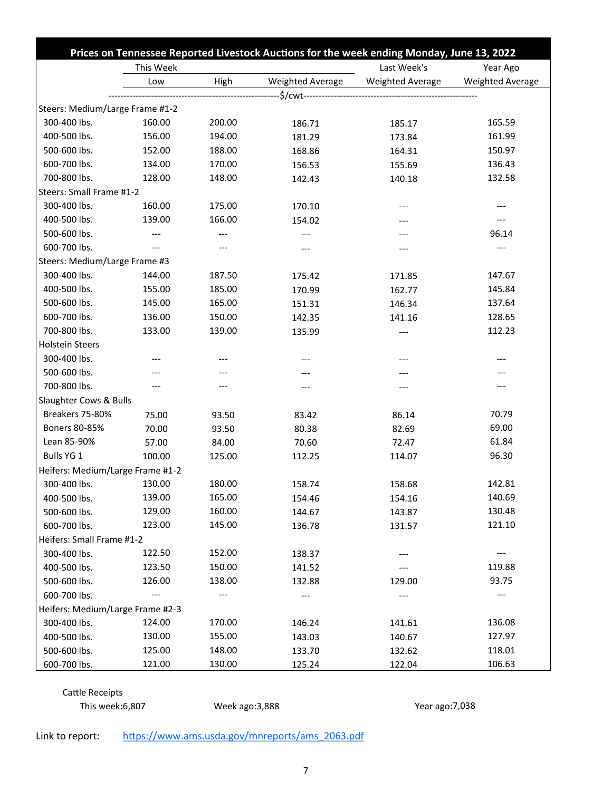|                                  | Prices on Tennessee Reported Livestock Auctions for the week ending Monday, June 13, 2022 |        |                  |                         |                  |  |
|----------------------------------|-------------------------------------------------------------------------------------------|--------|------------------|-------------------------|------------------|--|
|                                  | This Week                                                                                 |        | Last Week's      | Year Ago                |                  |  |
|                                  | Low                                                                                       | High   | Weighted Average | <b>Weighted Average</b> | Weighted Average |  |
|                                  |                                                                                           |        |                  |                         |                  |  |
| Steers: Medium/Large Frame #1-2  |                                                                                           |        |                  |                         |                  |  |
| 300-400 lbs.                     | 160.00                                                                                    | 200.00 | 186.71           | 185.17                  | 165.59           |  |
| 400-500 lbs.                     | 156.00                                                                                    | 194.00 | 181.29           | 173.84                  | 161.99           |  |
| 500-600 lbs.                     | 152.00                                                                                    | 188.00 | 168.86           | 164.31                  | 150.97           |  |
| 600-700 lbs.                     | 134.00                                                                                    | 170.00 | 156.53           | 155.69                  | 136.43           |  |
| 700-800 lbs.                     | 128.00                                                                                    | 148.00 | 142.43           | 140.18                  | 132.58           |  |
| Steers: Small Frame #1-2         |                                                                                           |        |                  |                         |                  |  |
| 300-400 lbs.                     | 160.00                                                                                    | 175.00 | 170.10           | ---                     |                  |  |
| 400-500 lbs.                     | 139.00                                                                                    | 166.00 | 154.02           |                         |                  |  |
| 500-600 lbs.                     | $---$                                                                                     | $---$  | ---              | ---                     | 96.14            |  |
| 600-700 lbs.                     | $---$                                                                                     |        | ---              |                         |                  |  |
| Steers: Medium/Large Frame #3    |                                                                                           |        |                  |                         |                  |  |
| 300-400 lbs.                     | 144.00                                                                                    | 187.50 | 175.42           | 171.85                  | 147.67           |  |
| 400-500 lbs.                     | 155.00                                                                                    | 185.00 | 170.99           | 162.77                  | 145.84           |  |
| 500-600 lbs.                     | 145.00                                                                                    | 165.00 | 151.31           | 146.34                  | 137.64           |  |
| 600-700 lbs.                     | 136.00                                                                                    | 150.00 | 142.35           | 141.16                  | 128.65           |  |
| 700-800 lbs.                     | 133.00                                                                                    | 139.00 | 135.99           | ---                     | 112.23           |  |
| <b>Holstein Steers</b>           |                                                                                           |        |                  |                         |                  |  |
| 300-400 lbs.                     |                                                                                           |        | ---              | ---                     |                  |  |
| 500-600 lbs.                     |                                                                                           |        |                  |                         |                  |  |
| 700-800 lbs.                     | $---$                                                                                     | ---    | ---              |                         |                  |  |
| Slaughter Cows & Bulls           |                                                                                           |        |                  |                         |                  |  |
| Breakers 75-80%                  | 75.00                                                                                     | 93.50  | 83.42            | 86.14                   | 70.79            |  |
| Boners 80-85%                    | 70.00                                                                                     | 93.50  | 80.38            | 82.69                   | 69.00            |  |
| Lean 85-90%                      | 57.00                                                                                     | 84.00  | 70.60            | 72.47                   | 61.84            |  |
| Bulls YG 1                       | 100.00                                                                                    | 125.00 | 112.25           | 114.07                  | 96.30            |  |
| Heifers: Medium/Large Frame #1-2 |                                                                                           |        |                  |                         |                  |  |
| 300-400 lbs.                     | 130.00                                                                                    | 180.00 | 158.74           | 158.68                  | 142.81           |  |
| 400-500 lbs.                     | 139.00                                                                                    | 165.00 | 154.46           | 154.16                  | 140.69           |  |
| 500-600 lbs.                     | 129.00                                                                                    | 160.00 | 144.67           | 143.87                  | 130.48           |  |
| 600-700 lbs.                     | 123.00                                                                                    | 145.00 | 136.78           | 131.57                  | 121.10           |  |
| Heifers: Small Frame #1-2        |                                                                                           |        |                  |                         |                  |  |
| 300-400 lbs.                     | 122.50                                                                                    | 152.00 | 138.37           |                         |                  |  |
| 400-500 lbs.                     | 123.50                                                                                    | 150.00 | 141.52           |                         | 119.88           |  |
| 500-600 lbs.                     | 126.00                                                                                    | 138.00 | 132.88           | 129.00                  | 93.75            |  |
| 600-700 lbs.                     |                                                                                           |        |                  |                         |                  |  |
| Heifers: Medium/Large Frame #2-3 |                                                                                           |        |                  |                         |                  |  |
| 300-400 lbs.                     | 124.00                                                                                    | 170.00 | 146.24           | 141.61                  | 136.08           |  |
| 400-500 lbs.                     | 130.00                                                                                    | 155.00 | 143.03           | 140.67                  | 127.97           |  |
| 500-600 lbs.                     | 125.00                                                                                    | 148.00 | 133.70           | 132.62                  | 118.01           |  |
| 600-700 lbs.                     | 121.00                                                                                    | 130.00 | 125.24           | 122.04                  | 106.63           |  |

Cattle Receipts<br>This week:6,807

Week ago:3,888 Year ago:7,038